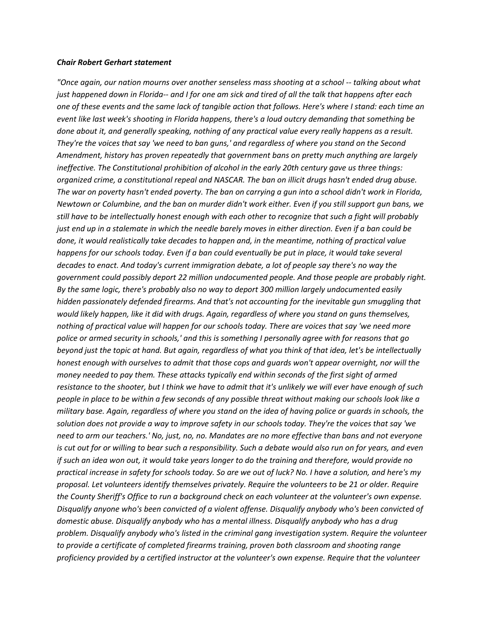## *Chair Robert Gerhart statement*

*"Once again, our nation mourns over another senseless mass shooting at a school -- talking about what just happened down in Florida-- and I for one am sick and tired of all the talk that happens after each one of these events and the same lack of tangible action that follows. Here's where I stand: each time an event like last week's shooting in Florida happens, there's a loud outcry demanding that something be done about it, and generally speaking, nothing of any practical value every really happens as a result. They're the voices that say 'we need to ban guns,' and regardless of where you stand on the Second Amendment, history has proven repeatedly that government bans on pretty much anything are largely ineffective. The Constitutional prohibition of alcohol in the early 20th century gave us three things: organized crime, a constitutional repeal and NASCAR. The ban on illicit drugs hasn't ended drug abuse. The war on poverty hasn't ended poverty. The ban on carrying a gun into a school didn't work in Florida, Newtown or Columbine, and the ban on murder didn't work either. Even if you still support gun bans, we still have to be intellectually honest enough with each other to recognize that such a fight will probably just end up in a stalemate in which the needle barely moves in either direction. Even if a ban could be done, it would realistically take decades to happen and, in the meantime, nothing of practical value happens for our schools today. Even if a ban could eventually be put in place, it would take several decades to enact. And today's current immigration debate, a lot of people say there's no way the government could possibly deport 22 million undocumented people. And those people are probably right. By the same logic, there's probably also no way to deport 300 million largely undocumented easily hidden passionately defended firearms. And that's not accounting for the inevitable gun smuggling that would likely happen, like it did with drugs. Again, regardless of where you stand on guns themselves, nothing of practical value will happen for our schools today. There are voices that say 'we need more police or armed security in schools,' and this is something I personally agree with for reasons that go beyond just the topic at hand. But again, regardless of what you think of that idea, let's be intellectually honest enough with ourselves to admit that those cops and guards won't appear overnight, nor will the money needed to pay them. These attacks typically end within seconds of the first sight of armed resistance to the shooter, but I think we have to admit that it's unlikely we will ever have enough of such people in place to be within a few seconds of any possible threat without making our schools look like a military base. Again, regardless of where you stand on the idea of having police or guards in schools, the solution does not provide a way to improve safety in our schools today. They're the voices that say 'we need to arm our teachers.' No, just, no, no. Mandates are no more effective than bans and not everyone is cut out for or willing to bear such a responsibility. Such a debate would also run on for years, and even if such an idea won out, it would take years longer to do the training and therefore, would provide no practical increase in safety for schools today. So are we out of luck? No. I have a solution, and here's my proposal. Let volunteers identify themselves privately. Require the volunteers to be 21 or older. Require the County Sheriff's Office to run a background check on each volunteer at the volunteer's own expense. Disqualify anyone who's been convicted of a violent offense. Disqualify anybody who's been convicted of domestic abuse. Disqualify anybody who has a mental illness. Disqualify anybody who has a drug problem. Disqualify anybody who's listed in the criminal gang investigation system. Require the volunteer to provide a certificate of completed firearms training, proven both classroom and shooting range proficiency provided by a certified instructor at the volunteer's own expense. Require that the volunteer*